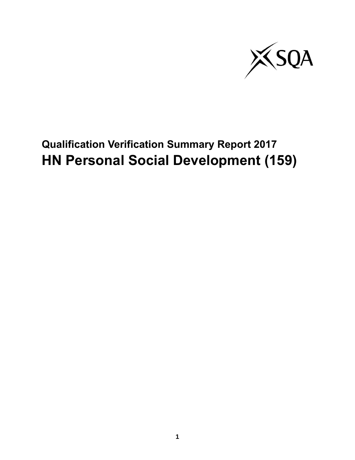

# **Qualification Verification Summary Report 2017 HN Personal Social Development (159)**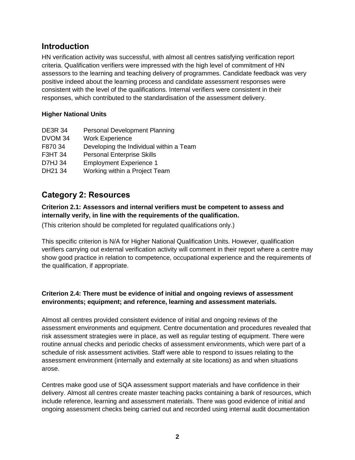## **Introduction**

HN verification activity was successful, with almost all centres satisfying verification report criteria. Qualification verifiers were impressed with the high level of commitment of HN assessors to the learning and teaching delivery of programmes. Candidate feedback was very positive indeed about the learning process and candidate assessment responses were consistent with the level of the qualifications. Internal verifiers were consistent in their responses, which contributed to the standardisation of the assessment delivery.

## **Higher National Units**

| <b>DE3R 34</b> | Personal Development Planning           |
|----------------|-----------------------------------------|
| DVOM 34        | <b>Work Experience</b>                  |
| F870 34        | Developing the Individual within a Team |
| <b>F3HT 34</b> | <b>Personal Enterprise Skills</b>       |
| <b>D7HJ 34</b> | <b>Employment Experience 1</b>          |
| DH21 34        | Working within a Project Team           |

# **Category 2: Resources**

## **Criterion 2.1: Assessors and internal verifiers must be competent to assess and internally verify, in line with the requirements of the qualification.**

(This criterion should be completed for regulated qualifications only.)

This specific criterion is N/A for Higher National Qualification Units. However, qualification verifiers carrying out external verification activity will comment in their report where a centre may show good practice in relation to competence, occupational experience and the requirements of the qualification, if appropriate.

## **Criterion 2.4: There must be evidence of initial and ongoing reviews of assessment environments; equipment; and reference, learning and assessment materials.**

Almost all centres provided consistent evidence of initial and ongoing reviews of the assessment environments and equipment. Centre documentation and procedures revealed that risk assessment strategies were in place, as well as regular testing of equipment. There were routine annual checks and periodic checks of assessment environments, which were part of a schedule of risk assessment activities. Staff were able to respond to issues relating to the assessment environment (internally and externally at site locations) as and when situations arose.

Centres make good use of SQA assessment support materials and have confidence in their delivery. Almost all centres create master teaching packs containing a bank of resources, which include reference, learning and assessment materials. There was good evidence of initial and ongoing assessment checks being carried out and recorded using internal audit documentation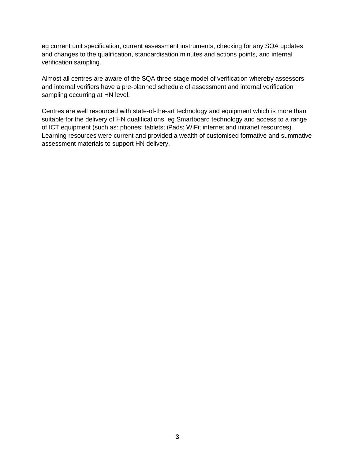eg current unit specification, current assessment instruments, checking for any SQA updates and changes to the qualification, standardisation minutes and actions points, and internal verification sampling.

Almost all centres are aware of the SQA three-stage model of verification whereby assessors and internal verifiers have a pre-planned schedule of assessment and internal verification sampling occurring at HN level.

Centres are well resourced with state-of-the-art technology and equipment which is more than suitable for the delivery of HN qualifications, eg Smartboard technology and access to a range of ICT equipment (such as: phones; tablets; iPads; WiFi; internet and intranet resources). Learning resources were current and provided a wealth of customised formative and summative assessment materials to support HN delivery.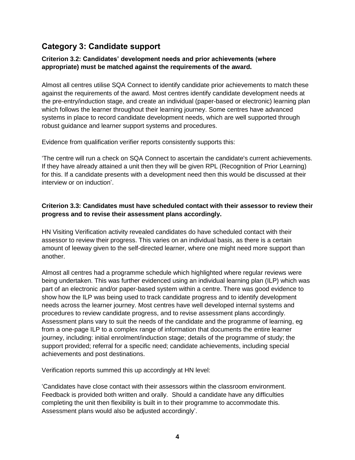# **Category 3: Candidate support**

## **Criterion 3.2: Candidates' development needs and prior achievements (where appropriate) must be matched against the requirements of the award.**

Almost all centres utilise SQA Connect to identify candidate prior achievements to match these against the requirements of the award. Most centres identify candidate development needs at the pre-entry/induction stage, and create an individual (paper-based or electronic) learning plan which follows the learner throughout their learning journey. Some centres have advanced systems in place to record candidate development needs, which are well supported through robust guidance and learner support systems and procedures.

Evidence from qualification verifier reports consistently supports this:

'The centre will run a check on SQA Connect to ascertain the candidate's current achievements. If they have already attained a unit then they will be given RPL (Recognition of Prior Learning) for this. If a candidate presents with a development need then this would be discussed at their interview or on induction'.

#### **Criterion 3.3: Candidates must have scheduled contact with their assessor to review their progress and to revise their assessment plans accordingly.**

HN Visiting Verification activity revealed candidates do have scheduled contact with their assessor to review their progress. This varies on an individual basis, as there is a certain amount of leeway given to the self-directed learner, where one might need more support than another.

Almost all centres had a programme schedule which highlighted where regular reviews were being undertaken. This was further evidenced using an individual learning plan (ILP) which was part of an electronic and/or paper-based system within a centre. There was good evidence to show how the ILP was being used to track candidate progress and to identify development needs across the learner journey. Most centres have well developed internal systems and procedures to review candidate progress, and to revise assessment plans accordingly. Assessment plans vary to suit the needs of the candidate and the programme of learning, eg from a one-page ILP to a complex range of information that documents the entire learner journey, including: initial enrolment/induction stage; details of the programme of study; the support provided; referral for a specific need; candidate achievements, including special achievements and post destinations.

Verification reports summed this up accordingly at HN level:

'Candidates have close contact with their assessors within the classroom environment. Feedback is provided both written and orally. Should a candidate have any difficulties completing the unit then flexibility is built in to their programme to accommodate this. Assessment plans would also be adjusted accordingly'.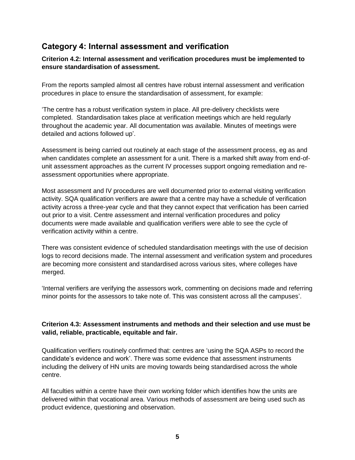# **Category 4: Internal assessment and verification**

## **Criterion 4.2: Internal assessment and verification procedures must be implemented to ensure standardisation of assessment.**

From the reports sampled almost all centres have robust internal assessment and verification procedures in place to ensure the standardisation of assessment, for example:

'The centre has a robust verification system in place. All pre-delivery checklists were completed. Standardisation takes place at verification meetings which are held regularly throughout the academic year. All documentation was available. Minutes of meetings were detailed and actions followed up'.

Assessment is being carried out routinely at each stage of the assessment process, eg as and when candidates complete an assessment for a unit. There is a marked shift away from end-ofunit assessment approaches as the current IV processes support ongoing remediation and reassessment opportunities where appropriate.

Most assessment and IV procedures are well documented prior to external visiting verification activity. SQA qualification verifiers are aware that a centre may have a schedule of verification activity across a three-year cycle and that they cannot expect that verification has been carried out prior to a visit. Centre assessment and internal verification procedures and policy documents were made available and qualification verifiers were able to see the cycle of verification activity within a centre.

There was consistent evidence of scheduled standardisation meetings with the use of decision logs to record decisions made. The internal assessment and verification system and procedures are becoming more consistent and standardised across various sites, where colleges have merged.

'Internal verifiers are verifying the assessors work, commenting on decisions made and referring minor points for the assessors to take note of. This was consistent across all the campuses'.

## **Criterion 4.3: Assessment instruments and methods and their selection and use must be valid, reliable, practicable, equitable and fair.**

Qualification verifiers routinely confirmed that: centres are 'using the SQA ASPs to record the candidate's evidence and work'. There was some evidence that assessment instruments including the delivery of HN units are moving towards being standardised across the whole centre.

All faculties within a centre have their own working folder which identifies how the units are delivered within that vocational area. Various methods of assessment are being used such as product evidence, questioning and observation.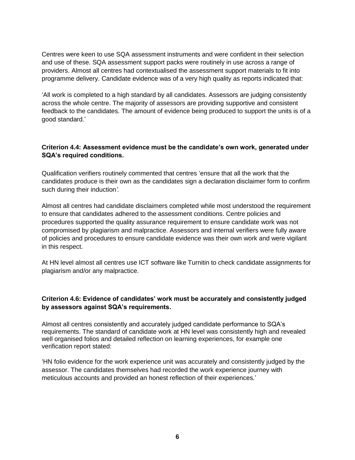Centres were keen to use SQA assessment instruments and were confident in their selection and use of these. SQA assessment support packs were routinely in use across a range of providers. Almost all centres had contextualised the assessment support materials to fit into programme delivery. Candidate evidence was of a very high quality as reports indicated that:

'All work is completed to a high standard by all candidates. Assessors are judging consistently across the whole centre. The majority of assessors are providing supportive and consistent feedback to the candidates. The amount of evidence being produced to support the units is of a good standard.'

#### **Criterion 4.4: Assessment evidence must be the candidate's own work, generated under SQA's required conditions.**

Qualification verifiers routinely commented that centres 'ensure that all the work that the candidates produce is their own as the candidates sign a declaration disclaimer form to confirm such during their induction*'.*

Almost all centres had candidate disclaimers completed while most understood the requirement to ensure that candidates adhered to the assessment conditions. Centre policies and procedures supported the quality assurance requirement to ensure candidate work was not compromised by plagiarism and malpractice. Assessors and internal verifiers were fully aware of policies and procedures to ensure candidate evidence was their own work and were vigilant in this respect.

At HN level almost all centres use ICT software like Turnitin to check candidate assignments for plagiarism and/or any malpractice.

#### **Criterion 4.6: Evidence of candidates' work must be accurately and consistently judged by assessors against SQA's requirements.**

Almost all centres consistently and accurately judged candidate performance to SQA's requirements. The standard of candidate work at HN level was consistently high and revealed well organised folios and detailed reflection on learning experiences, for example one verification report stated:

'HN folio evidence for the work experience unit was accurately and consistently judged by the assessor. The candidates themselves had recorded the work experience journey with meticulous accounts and provided an honest reflection of their experiences.'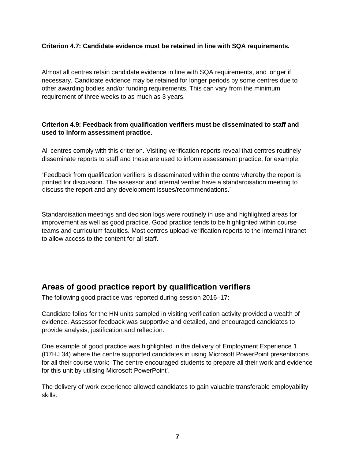#### **Criterion 4.7: Candidate evidence must be retained in line with SQA requirements.**

Almost all centres retain candidate evidence in line with SQA requirements, and longer if necessary. Candidate evidence may be retained for longer periods by some centres due to other awarding bodies and/or funding requirements. This can vary from the minimum requirement of three weeks to as much as 3 years.

#### **Criterion 4.9: Feedback from qualification verifiers must be disseminated to staff and used to inform assessment practice.**

All centres comply with this criterion. Visiting verification reports reveal that centres routinely disseminate reports to staff and these are used to inform assessment practice, for example:

'Feedback from qualification verifiers is disseminated within the centre whereby the report is printed for discussion. The assessor and internal verifier have a standardisation meeting to discuss the report and any development issues/recommendations.'

Standardisation meetings and decision logs were routinely in use and highlighted areas for improvement as well as good practice. Good practice tends to be highlighted within course teams and curriculum faculties. Most centres upload verification reports to the internal intranet to allow access to the content for all staff.

# **Areas of good practice report by qualification verifiers**

The following good practice was reported during session 2016–17:

Candidate folios for the HN units sampled in visiting verification activity provided a wealth of evidence. Assessor feedback was supportive and detailed, and encouraged candidates to provide analysis, justification and reflection.

One example of good practice was highlighted in the delivery of Employment Experience 1 (D7HJ 34) where the centre supported candidates in using Microsoft PowerPoint presentations for all their course work: 'The centre encouraged students to prepare all their work and evidence for this unit by utilising Microsoft PowerPoint'.

The delivery of work experience allowed candidates to gain valuable transferable employability skills.